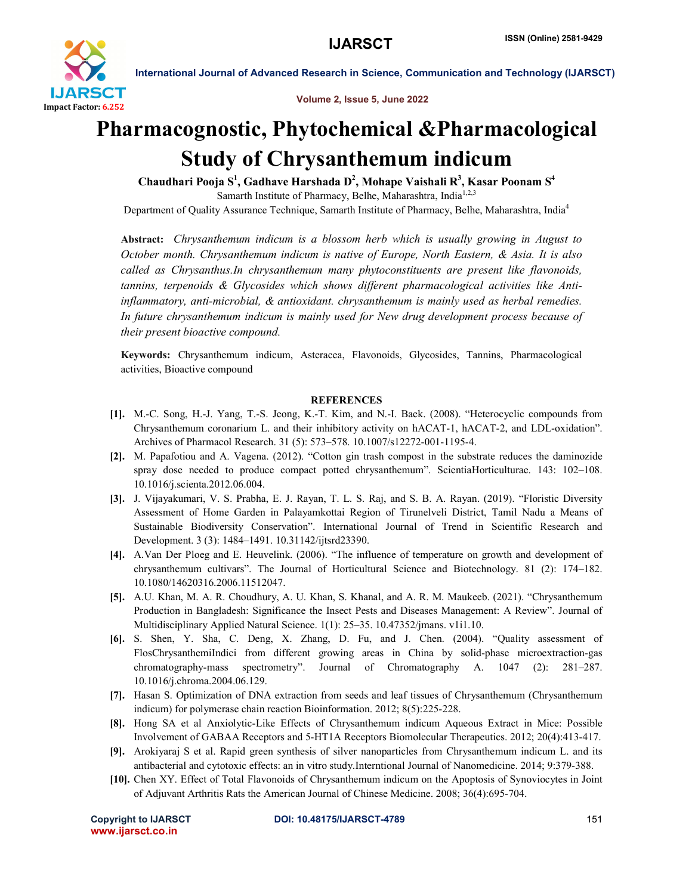

International Journal of Advanced Research in Science, Communication and Technology (IJARSCT)

Volume 2, Issue 5, June 2022

# Pharmacognostic, Phytochemical &Pharmacological Study of Chrysanthemum indicum

Chaudhari Pooja  $\mathbf{S}^1$ , Gadhave Harshada  $\mathbf{D}^2$ , Mohape Vaishali  $\mathbf{R}^3$ , Kasar Poonam  $\mathbf{S}^4$ Samarth Institute of Pharmacy, Belhe, Maharashtra, India<sup>1,2,3</sup> Department of Quality Assurance Technique, Samarth Institute of Pharmacy, Belhe, Maharashtra, India<sup>4</sup>

Abstract: *Chrysanthemum indicum is a blossom herb which is usually growing in August to October month. Chrysanthemum indicum is native of Europe, North Eastern, & Asia. It is also called as Chrysanthus.In chrysanthemum many phytoconstituents are present like flavonoids, tannins, terpenoids & Glycosides which shows different pharmacological activities like Antiinflammatory, anti-microbial, & antioxidant. chrysanthemum is mainly used as herbal remedies. In future chrysanthemum indicum is mainly used for New drug development process because of their present bioactive compound.*

Keywords: Chrysanthemum indicum, Asteracea, Flavonoids, Glycosides, Tannins, Pharmacological activities, Bioactive compound

## **REFERENCES**

- [1]. M.-C. Song, H.-J. Yang, T.-S. Jeong, K.-T. Kim, and N.-I. Baek. (2008). "Heterocyclic compounds from Chrysanthemum coronarium L. and their inhibitory activity on hACAT-1, hACAT-2, and LDL-oxidation". Archives of Pharmacol Research. 31 (5): 573–578. 10.1007/s12272-001-1195-4.
- [2]. M. Papafotiou and A. Vagena. (2012). "Cotton gin trash compost in the substrate reduces the daminozide spray dose needed to produce compact potted chrysanthemum". ScientiaHorticulturae. 143: 102–108. 10.1016/j.scienta.2012.06.004.
- [3]. J. Vijayakumari, V. S. Prabha, E. J. Rayan, T. L. S. Raj, and S. B. A. Rayan. (2019). "Floristic Diversity Assessment of Home Garden in Palayamkottai Region of Tirunelveli District, Tamil Nadu a Means of Sustainable Biodiversity Conservation". International Journal of Trend in Scientific Research and Development. 3 (3): 1484–1491. 10.31142/ijtsrd23390.
- [4]. A.Van Der Ploeg and E. Heuvelink. (2006). "The influence of temperature on growth and development of chrysanthemum cultivars". The Journal of Horticultural Science and Biotechnology. 81 (2): 174–182. 10.1080/14620316.2006.11512047.
- [5]. A.U. Khan, M. A. R. Choudhury, A. U. Khan, S. Khanal, and A. R. M. Maukeeb. (2021). "Chrysanthemum Production in Bangladesh: Significance the Insect Pests and Diseases Management: A Review". Journal of Multidisciplinary Applied Natural Science. 1(1): 25–35. 10.47352/jmans. v1i1.10.
- [6]. S. Shen, Y. Sha, C. Deng, X. Zhang, D. Fu, and J. Chen. (2004). "Quality assessment of FlosChrysanthemiIndici from different growing areas in China by solid-phase microextraction-gas chromatography-mass spectrometry". Journal of Chromatography A. 1047 (2): 281–287. 10.1016/j.chroma.2004.06.129.
- [7]. Hasan S. Optimization of DNA extraction from seeds and leaf tissues of Chrysanthemum (Chrysanthemum indicum) for polymerase chain reaction Bioinformation. 2012; 8(5):225-228.
- [8]. Hong SA et al Anxiolytic-Like Effects of Chrysanthemum indicum Aqueous Extract in Mice: Possible Involvement of GABAA Receptors and 5-HT1A Receptors Biomolecular Therapeutics. 2012; 20(4):413-417.
- [9]. Arokiyaraj S et al. Rapid green synthesis of silver nanoparticles from Chrysanthemum indicum L. and its antibacterial and cytotoxic effects: an in vitro study.Interntional Journal of Nanomedicine. 2014; 9:379-388.
- [10]. Chen XY. Effect of Total Flavonoids of Chrysanthemum indicum on the Apoptosis of Synoviocytes in Joint of Adjuvant Arthritis Rats the American Journal of Chinese Medicine. 2008; 36(4):695-704.